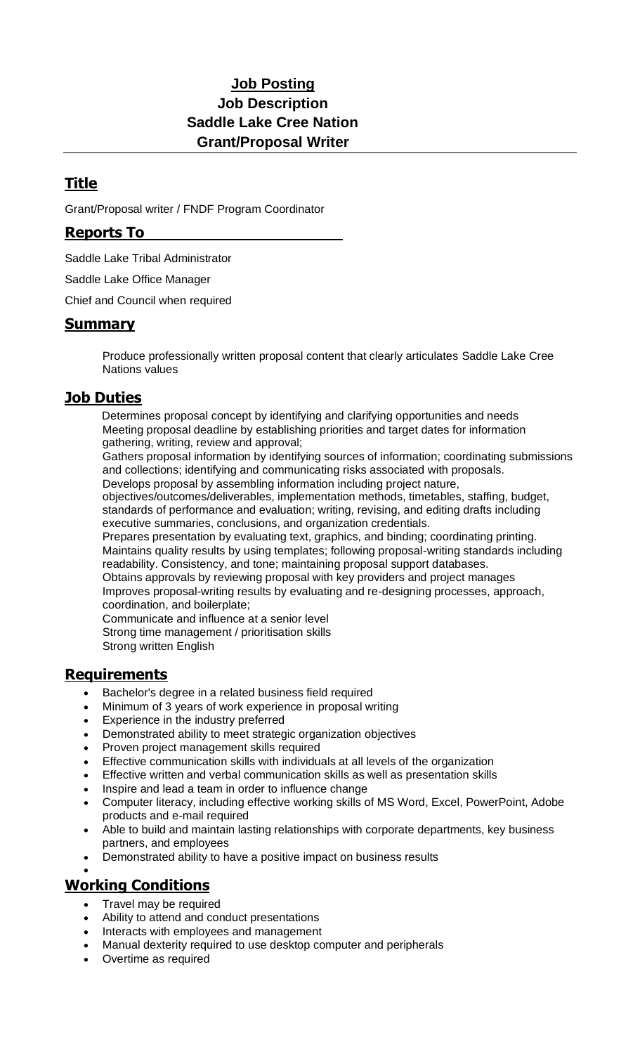## **Job Posting Job Description Saddle Lake Cree Nation Grant/Proposal Writer**

# **Title**

Grant/Proposal writer / FNDF Program Coordinator

### **Reports To**

Saddle Lake Tribal Administrator

Saddle Lake Office Manager

Chief and Council when required

#### **Summary**

Produce professionally written proposal content that clearly articulates Saddle Lake Cree Nations values

#### **Job Duties**

Determines proposal concept by identifying and clarifying opportunities and needs Meeting proposal deadline by establishing priorities and target dates for information gathering, writing, review and approval;

Gathers proposal information by identifying sources of information; coordinating submissions and collections; identifying and communicating risks associated with proposals. Develops proposal by assembling information including project nature,

objectives/outcomes/deliverables, implementation methods, timetables, staffing, budget, standards of performance and evaluation; writing, revising, and editing drafts including

executive summaries, conclusions, and organization credentials.

Prepares presentation by evaluating text, graphics, and binding; coordinating printing. Maintains quality results by using templates; following proposal-writing standards including readability. Consistency, and tone; maintaining proposal support databases.

Obtains approvals by reviewing proposal with key providers and project manages Improves proposal-writing results by evaluating and re-designing processes, approach, coordination, and boilerplate;

Communicate and influence at a senior level Strong time management / prioritisation skills Strong written English

#### **Requirements**

- Bachelor's degree in a related business field required
- Minimum of 3 years of work experience in proposal writing
- Experience in the industry preferred
- Demonstrated ability to meet strategic organization objectives
- Proven project management skills required
- Effective communication skills with individuals at all levels of the organization
- Effective written and verbal communication skills as well as presentation skills
- Inspire and lead a team in order to influence change
- Computer literacy, including effective working skills of MS Word, Excel, PowerPoint, Adobe products and e-mail required
- Able to build and maintain lasting relationships with corporate departments, key business partners, and employees
- Demonstrated ability to have a positive impact on business results

#### •

## **Working Conditions**

- Travel may be required
- Ability to attend and conduct presentations
- Interacts with employees and management
- Manual dexterity required to use desktop computer and peripherals
- Overtime as required